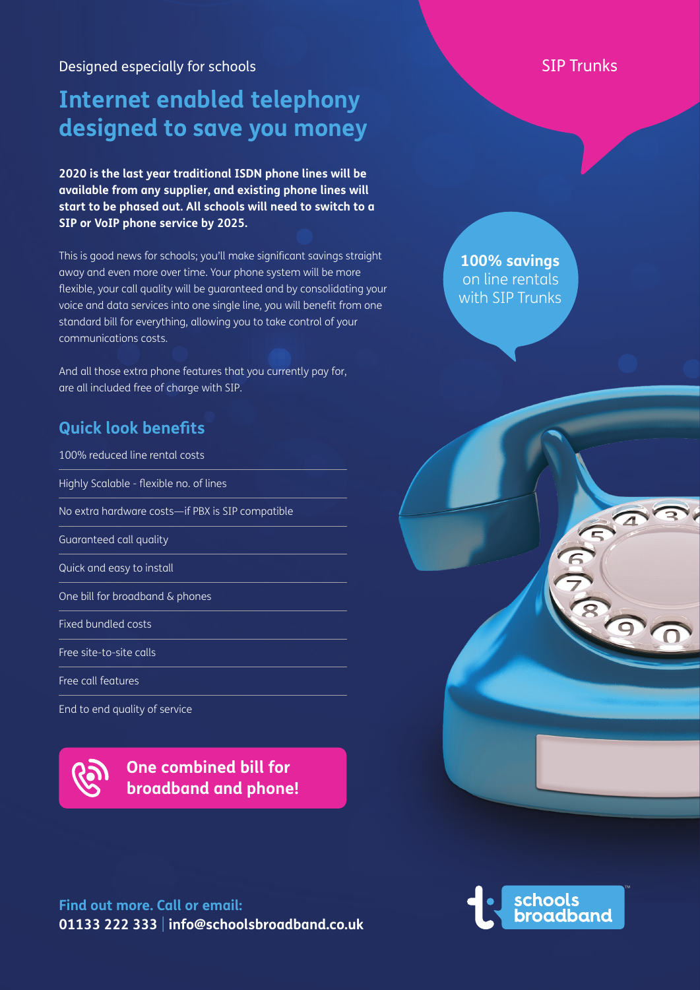Designed especially for schools New York SIP Trunks

# **Internet enabled telephony designed to save you money**

**2020 is the last year traditional ISDN phone lines will be available from any supplier, and existing phone lines will start to be phased out. All schools will need to switch to a SIP or VoIP phone service by 2025.**

This is good news for schools; you'll make significant savings straight away and even more over time. Your phone system will be more flexible, your call quality will be guaranteed and by consolidating your voice and data services into one single line, you will benefit from one standard bill for everything, allowing you to take control of your communications costs.

And all those extra phone features that you currently pay for, are all included free of charge with SIP.

### **Quick look benefits**

100% reduced line rental costs Highly Scalable - flexible no. of lines No extra hardware costs—if PBX is SIP compatible Guaranteed call quality Quick and easy to install One bill for broadband & phones Fixed bundled costs Free site-to-site calls Free call features

End to end quality of service



**Find out more. Call or email: 01133 222 333** | **info@schoolsbroadband.co.uk**

**100% savings**  on line rentals with SIP Trunks



6